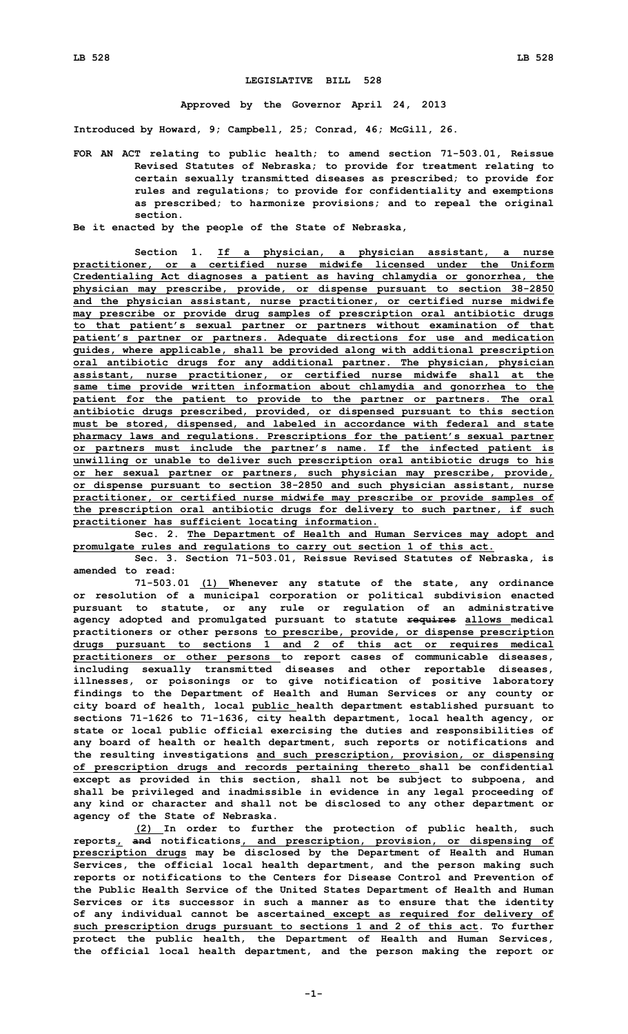## **LEGISLATIVE BILL 528**

**Approved by the Governor April 24, 2013**

**Introduced by Howard, 9; Campbell, 25; Conrad, 46; McGill, 26.**

**FOR AN ACT relating to public health; to amend section 71-503.01, Reissue Revised Statutes of Nebraska; to provide for treatment relating to certain sexually transmitted diseases as prescribed; to provide for rules and regulations; to provide for confidentiality and exemptions as prescribed; to harmonize provisions; and to repeal the original section.**

**Be it enacted by the people of the State of Nebraska,**

**Section 1. If <sup>a</sup> physician, <sup>a</sup> physician assistant, <sup>a</sup> nurse practitioner, or <sup>a</sup> certified nurse midwife licensed under the Uniform Credentialing Act diagnoses <sup>a</sup> patient as having chlamydia or gonorrhea, the physician may prescribe, provide, or dispense pursuant to section 38-2850 and the physician assistant, nurse practitioner, or certified nurse midwife may prescribe or provide drug samples of prescription oral antibiotic drugs to that patient's sexual partner or partners without examination of that patient's partner or partners. Adequate directions for use and medication guides, where applicable, shall be provided along with additional prescription oral antibiotic drugs for any additional partner. The physician, physician assistant, nurse practitioner, or certified nurse midwife shall at the same time provide written information about chlamydia and gonorrhea to the patient for the patient to provide to the partner or partners. The oral antibiotic drugs prescribed, provided, or dispensed pursuant to this section must be stored, dispensed, and labeled in accordance with federal and state pharmacy laws and regulations. Prescriptions for the patient's sexual partner or partners must include the partner's name. If the infected patient is unwilling or unable to deliver such prescription oral antibiotic drugs to his or her sexual partner or partners, such physician may prescribe, provide, or dispense pursuant to section 38-2850 and such physician assistant, nurse practitioner, or certified nurse midwife may prescribe or provide samples of the prescription oral antibiotic drugs for delivery to such partner, if such practitioner has sufficient locating information.**

**Sec. 2. The Department of Health and Human Services may adopt and promulgate rules and regulations to carry out section 1 of this act.**

**Sec. 3. Section 71-503.01, Reissue Revised Statutes of Nebraska, is amended to read:**

**71-503.01 (1) Whenever any statute of the state, any ordinance or resolution of <sup>a</sup> municipal corporation or political subdivision enacted pursuant to statute, or any rule or regulation of an administrative agency adopted and promulgated pursuant to statute requires allows medical practitioners or other persons to prescribe, provide, or dispense prescription drugs pursuant to sections 1 and 2 of this act or requires medical practitioners or other persons to report cases of communicable diseases, including sexually transmitted diseases and other reportable diseases, illnesses, or poisonings or to give notification of positive laboratory findings to the Department of Health and Human Services or any county or city board of health, local public health department established pursuant to sections 71-1626 to 71-1636, city health department, local health agency, or state or local public official exercising the duties and responsibilities of any board of health or health department, such reports or notifications and the resulting investigations and such prescription, provision, or dispensing of prescription drugs and records pertaining thereto shall be confidential except as provided in this section, shall not be subject to subpoena, and shall be privileged and inadmissible in evidence in any legal proceeding of any kind or character and shall not be disclosed to any other department or agency of the State of Nebraska.**

**(2) In order to further the protection of public health, such reports, and notifications, and prescription, provision, or dispensing of prescription drugs may be disclosed by the Department of Health and Human Services, the official local health department, and the person making such reports or notifications to the Centers for Disease Control and Prevention of the Public Health Service of the United States Department of Health and Human Services or its successor in such <sup>a</sup> manner as to ensure that the identity of any individual cannot be ascertained except as required for delivery of such prescription drugs pursuant to sections 1 and 2 of this act. To further protect the public health, the Department of Health and Human Services, the official local health department, and the person making the report or**